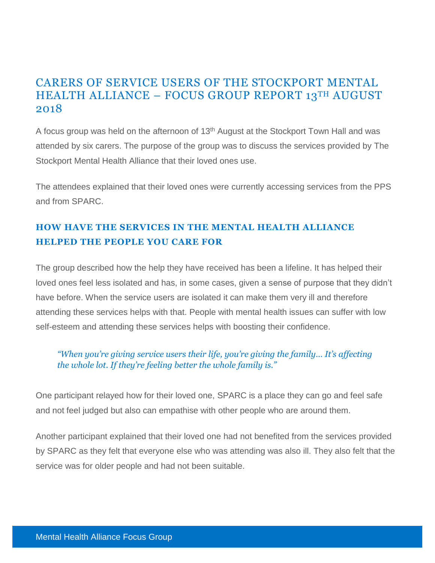# CARERS OF SERVICE USERS OF THE STOCKPORT MENTAL HEALTH ALLIANCE – FOCUS GROUP REPORT 13TH AUGUST 2018

A focus group was held on the afternoon of 13<sup>th</sup> August at the Stockport Town Hall and was attended by six carers. The purpose of the group was to discuss the services provided by The Stockport Mental Health Alliance that their loved ones use.

The attendees explained that their loved ones were currently accessing services from the PPS and from SPARC.

# **HOW HAVE THE SERVICES IN THE MENTAL HEALTH ALLIANCE HELPED THE PEOPLE YOU CARE FOR**

The group described how the help they have received has been a lifeline. It has helped their loved ones feel less isolated and has, in some cases, given a sense of purpose that they didn't have before. When the service users are isolated it can make them very ill and therefore attending these services helps with that. People with mental health issues can suffer with low self-esteem and attending these services helps with boosting their confidence.

# *"When you're giving service users their life, you're giving the family… It's affecting the whole lot. If they're feeling better the whole family is."*

One participant relayed how for their loved one, SPARC is a place they can go and feel safe and not feel judged but also can empathise with other people who are around them.

Another participant explained that their loved one had not benefited from the services provided by SPARC as they felt that everyone else who was attending was also ill. They also felt that the service was for older people and had not been suitable.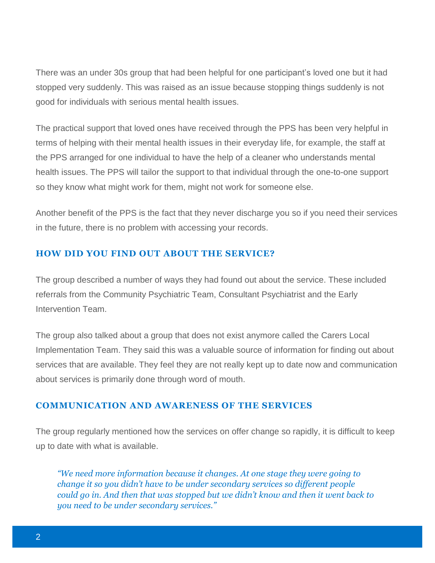There was an under 30s group that had been helpful for one participant's loved one but it had stopped very suddenly. This was raised as an issue because stopping things suddenly is not good for individuals with serious mental health issues.

The practical support that loved ones have received through the PPS has been very helpful in terms of helping with their mental health issues in their everyday life, for example, the staff at the PPS arranged for one individual to have the help of a cleaner who understands mental health issues. The PPS will tailor the support to that individual through the one-to-one support so they know what might work for them, might not work for someone else.

Another benefit of the PPS is the fact that they never discharge you so if you need their services in the future, there is no problem with accessing your records.

## **HOW DID YOU FIND OUT ABOUT THE SERVICE?**

The group described a number of ways they had found out about the service. These included referrals from the Community Psychiatric Team, Consultant Psychiatrist and the Early Intervention Team.

The group also talked about a group that does not exist anymore called the Carers Local Implementation Team. They said this was a valuable source of information for finding out about services that are available. They feel they are not really kept up to date now and communication about services is primarily done through word of mouth.

#### **COMMUNICATION AND AWARENESS OF THE SERVICES**

The group regularly mentioned how the services on offer change so rapidly, it is difficult to keep up to date with what is available.

*"We need more information because it changes. At one stage they were going to change it so you didn't have to be under secondary services so different people could go in. And then that was stopped but we didn't know and then it went back to you need to be under secondary services."*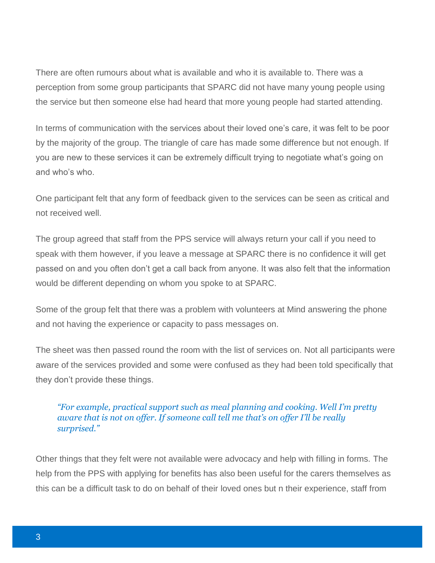There are often rumours about what is available and who it is available to. There was a perception from some group participants that SPARC did not have many young people using the service but then someone else had heard that more young people had started attending.

In terms of communication with the services about their loved one's care, it was felt to be poor by the majority of the group. The triangle of care has made some difference but not enough. If you are new to these services it can be extremely difficult trying to negotiate what's going on and who's who.

One participant felt that any form of feedback given to the services can be seen as critical and not received well.

The group agreed that staff from the PPS service will always return your call if you need to speak with them however, if you leave a message at SPARC there is no confidence it will get passed on and you often don't get a call back from anyone. It was also felt that the information would be different depending on whom you spoke to at SPARC.

Some of the group felt that there was a problem with volunteers at Mind answering the phone and not having the experience or capacity to pass messages on.

The sheet was then passed round the room with the list of services on. Not all participants were aware of the services provided and some were confused as they had been told specifically that they don't provide these things.

## *"For example, practical support such as meal planning and cooking. Well I'm pretty aware that is not on offer. If someone call tell me that's on offer I'll be really surprised."*

Other things that they felt were not available were advocacy and help with filling in forms. The help from the PPS with applying for benefits has also been useful for the carers themselves as this can be a difficult task to do on behalf of their loved ones but n their experience, staff from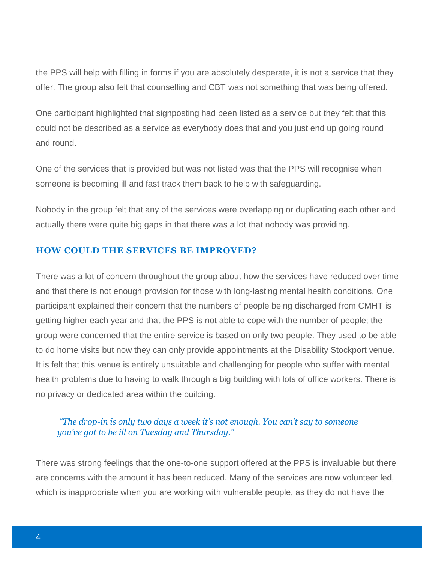the PPS will help with filling in forms if you are absolutely desperate, it is not a service that they offer. The group also felt that counselling and CBT was not something that was being offered.

One participant highlighted that signposting had been listed as a service but they felt that this could not be described as a service as everybody does that and you just end up going round and round.

One of the services that is provided but was not listed was that the PPS will recognise when someone is becoming ill and fast track them back to help with safeguarding.

Nobody in the group felt that any of the services were overlapping or duplicating each other and actually there were quite big gaps in that there was a lot that nobody was providing.

#### **HOW COULD THE SERVICES BE IMPROVED?**

There was a lot of concern throughout the group about how the services have reduced over time and that there is not enough provision for those with long-lasting mental health conditions. One participant explained their concern that the numbers of people being discharged from CMHT is getting higher each year and that the PPS is not able to cope with the number of people; the group were concerned that the entire service is based on only two people. They used to be able to do home visits but now they can only provide appointments at the Disability Stockport venue. It is felt that this venue is entirely unsuitable and challenging for people who suffer with mental health problems due to having to walk through a big building with lots of office workers. There is no privacy or dedicated area within the building.

#### *"The drop-in is only two days a week it's not enough. You can't say to someone you've got to be ill on Tuesday and Thursday."*

There was strong feelings that the one-to-one support offered at the PPS is invaluable but there are concerns with the amount it has been reduced. Many of the services are now volunteer led, which is inappropriate when you are working with vulnerable people, as they do not have the